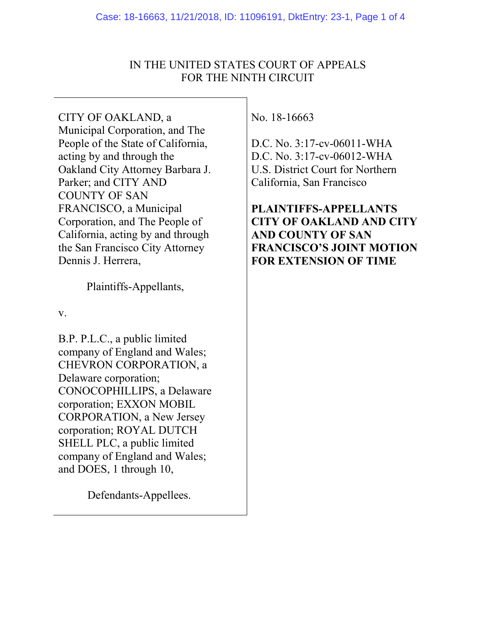# IN THE UNITED STATES COURT OF APPEALS FOR THE NINTH CIRCUIT

CITY OF OAKLAND, a Municipal Corporation, and The People of the State of California, acting by and through the Oakland City Attorney Barbara J. Parker; and CITY AND COUNTY OF SAN FRANCISCO, a Municipal Corporation, and The People of California, acting by and through the San Francisco City Attorney Dennis J. Herrera,

Plaintiffs-Appellants,

v.

B.P. P.L.C., a public limited company of England and Wales; CHEVRON CORPORATION, a Delaware corporation; CONOCOPHILLIPS, a Delaware corporation; EXXON MOBIL CORPORATION, a New Jersey corporation; ROYAL DUTCH SHELL PLC, a public limited company of England and Wales; and DOES, 1 through 10,

Defendants-Appellees.

No. 18-16663

D.C. No. 3:17-cv-06011-WHA D.C. No. 3:17-cv-06012-WHA U.S. District Court for Northern California, San Francisco

**PLAINTIFFS-APPELLANTS CITY OF OAKLAND AND CITY AND COUNTY OF SAN FRANCISCO'S JOINT MOTION FOR EXTENSION OF TIME**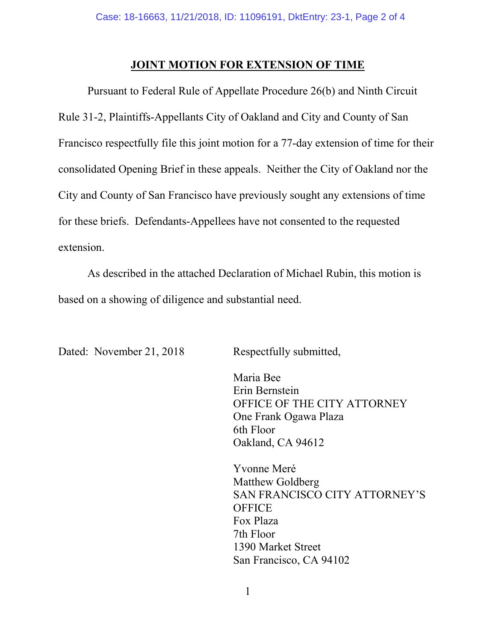### **JOINT MOTION FOR EXTENSION OF TIME**

Pursuant to Federal Rule of Appellate Procedure 26(b) and Ninth Circuit Rule 31-2, Plaintiffs-Appellants City of Oakland and City and County of San Francisco respectfully file this joint motion for a 77-day extension of time for their consolidated Opening Brief in these appeals. Neither the City of Oakland nor the City and County of San Francisco have previously sought any extensions of time for these briefs. Defendants-Appellees have not consented to the requested extension.

As described in the attached Declaration of Michael Rubin, this motion is based on a showing of diligence and substantial need.

Dated: November 21, 2018 Respectfully submitted,

Maria Bee Erin Bernstein OFFICE OF THE CITY ATTORNEY One Frank Ogawa Plaza 6th Floor Oakland, CA 94612

Yvonne Meré Matthew Goldberg SAN FRANCISCO CITY ATTORNEY'S **OFFICE** Fox Plaza 7th Floor 1390 Market Street San Francisco, CA 94102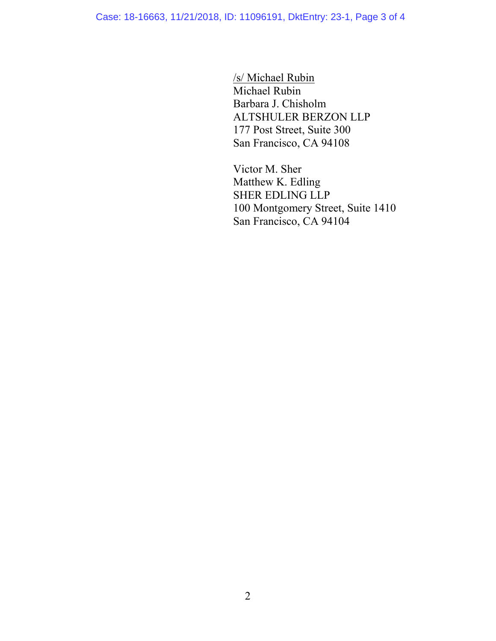Case: 18-16663, 11/21/2018, ID: 11096191, DktEntry: 23-1, Page 3 of 4

/s/ Michael Rubin Michael Rubin Barbara J. Chisholm ALTSHULER BERZON LLP 177 Post Street, Suite 300 San Francisco, CA 94108

Victor M. Sher Matthew K. Edling SHER EDLING LLP 100 Montgomery Street, Suite 1410 San Francisco, CA 94104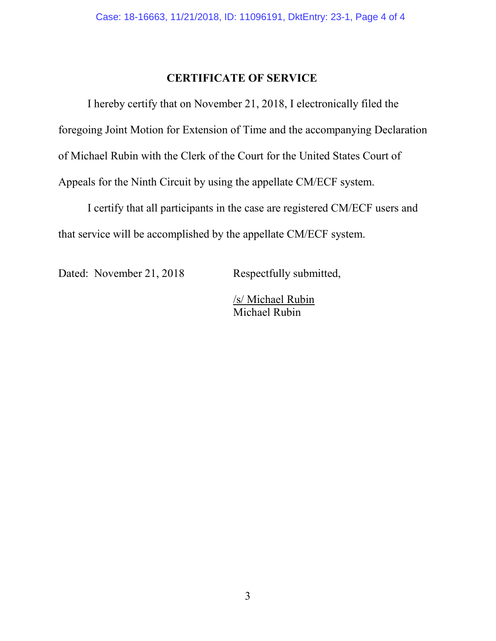# **CERTIFICATE OF SERVICE**

I hereby certify that on November 21, 2018, I electronically filed the foregoing Joint Motion for Extension of Time and the accompanying Declaration of Michael Rubin with the Clerk of the Court for the United States Court of Appeals for the Ninth Circuit by using the appellate CM/ECF system.

I certify that all participants in the case are registered CM/ECF users and that service will be accomplished by the appellate CM/ECF system.

Dated: November 21, 2018 Respectfully submitted,

/s/ Michael Rubin Michael Rubin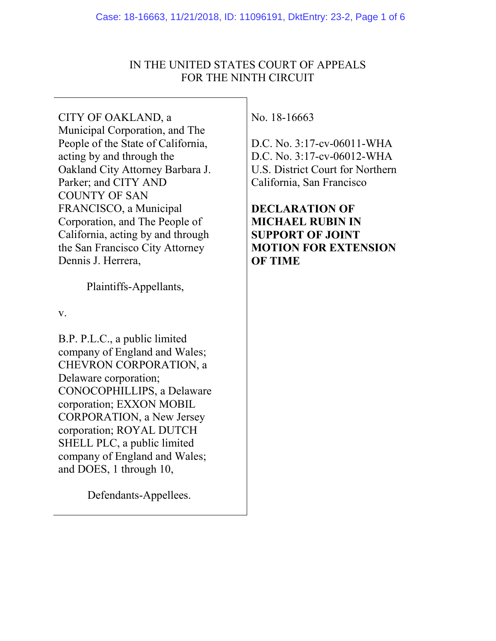## IN THE UNITED STATES COURT OF APPEALS FOR THE NINTH CIRCUIT

CITY OF OAKLAND, a Municipal Corporation, and The People of the State of California, acting by and through the Oakland City Attorney Barbara J. Parker; and CITY AND COUNTY OF SAN FRANCISCO, a Municipal Corporation, and The People of California, acting by and through the San Francisco City Attorney Dennis J. Herrera,

Plaintiffs-Appellants,

v.

B.P. P.L.C., a public limited company of England and Wales; CHEVRON CORPORATION, a Delaware corporation; CONOCOPHILLIPS, a Delaware corporation; EXXON MOBIL CORPORATION, a New Jersey corporation; ROYAL DUTCH SHELL PLC, a public limited company of England and Wales; and DOES, 1 through 10,

Defendants-Appellees.

No. 18-16663

D.C. No. 3:17-cv-06011-WHA D.C. No. 3:17-cv-06012-WHA U.S. District Court for Northern California, San Francisco

**DECLARATION OF MICHAEL RUBIN IN SUPPORT OF JOINT MOTION FOR EXTENSION OF TIME**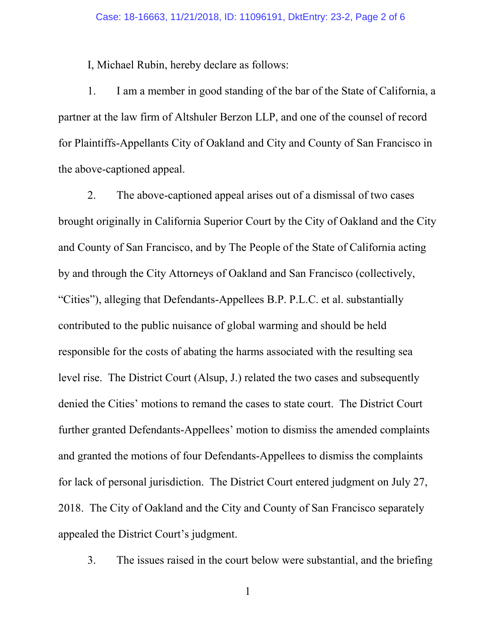I, Michael Rubin, hereby declare as follows:

1. I am a member in good standing of the bar of the State of California, a partner at the law firm of Altshuler Berzon LLP, and one of the counsel of record for Plaintiffs-Appellants City of Oakland and City and County of San Francisco in the above-captioned appeal.

2. The above-captioned appeal arises out of a dismissal of two cases brought originally in California Superior Court by the City of Oakland and the City and County of San Francisco, and by The People of the State of California acting by and through the City Attorneys of Oakland and San Francisco (collectively, "Cities"), alleging that Defendants-Appellees B.P. P.L.C. et al. substantially contributed to the public nuisance of global warming and should be held responsible for the costs of abating the harms associated with the resulting sea level rise. The District Court (Alsup, J.) related the two cases and subsequently denied the Cities' motions to remand the cases to state court. The District Court further granted Defendants-Appellees' motion to dismiss the amended complaints and granted the motions of four Defendants-Appellees to dismiss the complaints for lack of personal jurisdiction. The District Court entered judgment on July 27, 2018. The City of Oakland and the City and County of San Francisco separately appealed the District Court's judgment.

3. The issues raised in the court below were substantial, and the briefing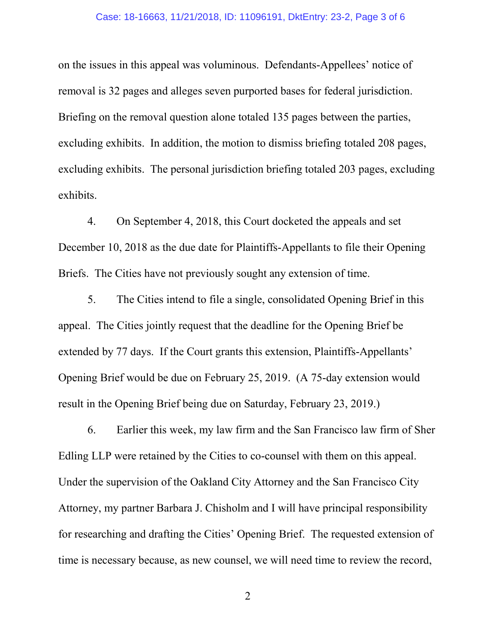#### Case: 18-16663, 11/21/2018, ID: 11096191, DktEntry: 23-2, Page 3 of 6

on the issues in this appeal was voluminous. Defendants-Appellees' notice of removal is 32 pages and alleges seven purported bases for federal jurisdiction. Briefing on the removal question alone totaled 135 pages between the parties, excluding exhibits. In addition, the motion to dismiss briefing totaled 208 pages, excluding exhibits. The personal jurisdiction briefing totaled 203 pages, excluding exhibits.

4. On September 4, 2018, this Court docketed the appeals and set December 10, 2018 as the due date for Plaintiffs-Appellants to file their Opening Briefs. The Cities have not previously sought any extension of time.

5. The Cities intend to file a single, consolidated Opening Brief in this appeal. The Cities jointly request that the deadline for the Opening Brief be extended by 77 days. If the Court grants this extension, Plaintiffs-Appellants' Opening Brief would be due on February 25, 2019. (A 75-day extension would result in the Opening Brief being due on Saturday, February 23, 2019.)

6. Earlier this week, my law firm and the San Francisco law firm of Sher Edling LLP were retained by the Cities to co-counsel with them on this appeal. Under the supervision of the Oakland City Attorney and the San Francisco City Attorney, my partner Barbara J. Chisholm and I will have principal responsibility for researching and drafting the Cities' Opening Brief. The requested extension of time is necessary because, as new counsel, we will need time to review the record,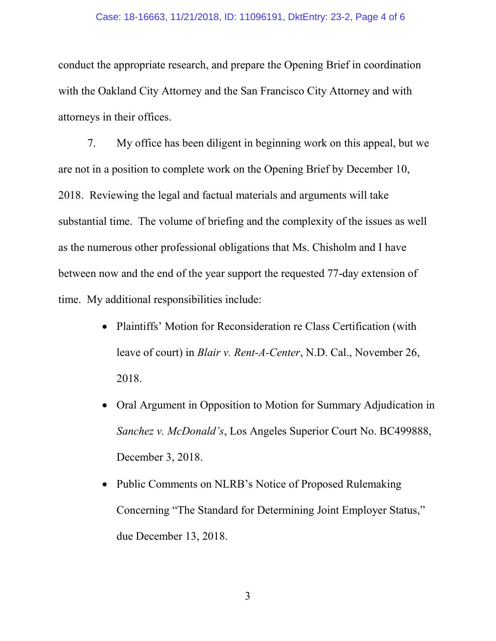#### Case: 18-16663, 11/21/2018, ID: 11096191, DktEntry: 23-2, Page 4 of 6

conduct the appropriate research, and prepare the Opening Brief in coordination with the Oakland City Attorney and the San Francisco City Attorney and with attorneys in their offices.

7. My office has been diligent in beginning work on this appeal, but we are not in a position to complete work on the Opening Brief by December 10, 2018. Reviewing the legal and factual materials and arguments will take substantial time. The volume of briefing and the complexity of the issues as well as the numerous other professional obligations that Ms. Chisholm and I have between now and the end of the year support the requested 77-day extension of time. My additional responsibilities include:

- Plaintiffs' Motion for Reconsideration re Class Certification (with leave of court) in *Blair v. Rent-A-Center*, N.D. Cal., November 26, 2018.
- Oral Argument in Opposition to Motion for Summary Adjudication in *Sanchez v. McDonald's*, Los Angeles Superior Court No. BC499888, December 3, 2018.
- Public Comments on NLRB's Notice of Proposed Rulemaking Concerning "The Standard for Determining Joint Employer Status," due December 13, 2018.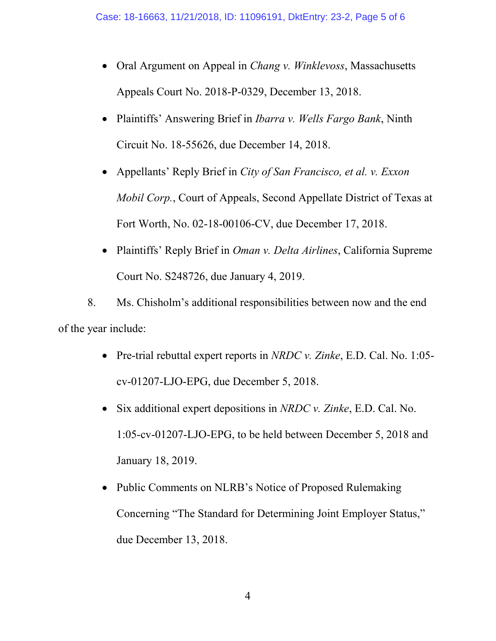- Oral Argument on Appeal in *Chang v. Winklevoss*, Massachusetts Appeals Court No. 2018-P-0329, December 13, 2018.
- Plaintiffs' Answering Brief in *Ibarra v. Wells Fargo Bank*, Ninth Circuit No. 18-55626, due December 14, 2018.
- Appellants' Reply Brief in *City of San Francisco, et al. v. Exxon Mobil Corp.*, Court of Appeals, Second Appellate District of Texas at Fort Worth, No. 02-18-00106-CV, due December 17, 2018.
- Plaintiffs' Reply Brief in *Oman v. Delta Airlines*, California Supreme Court No. S248726, due January 4, 2019.

8. Ms. Chisholm's additional responsibilities between now and the end of the year include:

- Pre-trial rebuttal expert reports in *NRDC v. Zinke*, E.D. Cal. No. 1:05 cv-01207-LJO-EPG, due December 5, 2018.
- Six additional expert depositions in *NRDC v. Zinke*, E.D. Cal. No. 1:05-cv-01207-LJO-EPG, to be held between December 5, 2018 and January 18, 2019.
- Public Comments on NLRB's Notice of Proposed Rulemaking Concerning "The Standard for Determining Joint Employer Status," due December 13, 2018.